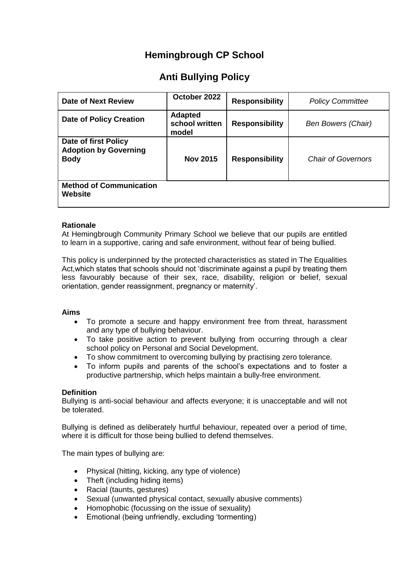## **Hemingbrough CP School**

# **Anti Bullying Policy**

| <b>Date of Next Review</b>                                          | October 2022                              | <b>Responsibility</b> | <b>Policy Committee</b>   |
|---------------------------------------------------------------------|-------------------------------------------|-----------------------|---------------------------|
| <b>Date of Policy Creation</b>                                      | <b>Adapted</b><br>school written<br>model | <b>Responsibility</b> | <b>Ben Bowers (Chair)</b> |
| Date of first Policy<br><b>Adoption by Governing</b><br><b>Body</b> | <b>Nov 2015</b>                           | <b>Responsibility</b> | <b>Chair of Governors</b> |
| <b>Method of Communication</b><br>Website                           |                                           |                       |                           |

## **Rationale**

At Hemingbrough Community Primary School we believe that our pupils are entitled to learn in a supportive, caring and safe environment, without fear of being bullied.

This policy is underpinned by the protected characteristics as stated in The Equalities Act,which states that schools should not 'discriminate against a pupil by treating them less favourably because of their sex, race, disability, religion or belief, sexual orientation, gender reassignment, pregnancy or maternity'.

## **Aims**

- To promote a secure and happy environment free from threat, harassment and any type of bullying behaviour.
- To take positive action to prevent bullying from occurring through a clear school policy on Personal and Social Development.
- To show commitment to overcoming bullying by practising zero tolerance.
- To inform pupils and parents of the school's expectations and to foster a productive partnership, which helps maintain a bully-free environment.

## **Definition**

Bullying is anti-social behaviour and affects everyone; it is unacceptable and will not be tolerated.

Bullying is defined as deliberately hurtful behaviour, repeated over a period of time, where it is difficult for those being bullied to defend themselves.

The main types of bullying are:

- Physical (hitting, kicking, any type of violence)
- Theft (including hiding items)
- Racial (taunts, gestures)
- Sexual (unwanted physical contact, sexually abusive comments)
- Homophobic (focussing on the issue of sexuality)
- Emotional (being unfriendly, excluding 'tormenting)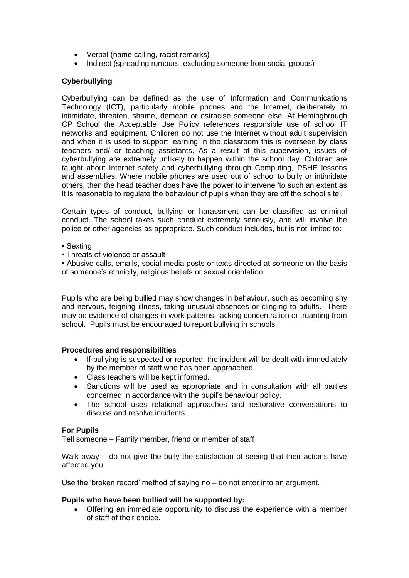- Verbal (name calling, racist remarks)
- Indirect (spreading rumours, excluding someone from social groups)

## **Cyberbullying**

Cyberbullying can be defined as the use of Information and Communications Technology (ICT), particularly mobile phones and the Internet, deliberately to intimidate, threaten, shame, demean or ostracise someone else. At Hemingbrough CP School the Acceptable Use Policy references responsible use of school IT networks and equipment. Children do not use the Internet without adult supervision and when it is used to support learning in the classroom this is overseen by class teachers and/ or teaching assistants. As a result of this supervision, issues of cyberbullying are extremely unlikely to happen within the school day. Children are taught about Internet safety and cyberbullying through Computing, PSHE lessons and assemblies. Where mobile phones are used out of school to bully or intimidate others, then the head teacher does have the power to intervene 'to such an extent as it is reasonable to regulate the behaviour of pupils when they are off the school site'.

Certain types of conduct, bullying or harassment can be classified as criminal conduct. The school takes such conduct extremely seriously, and will involve the police or other agencies as appropriate. Such conduct includes, but is not limited to:

• Sexting

• Threats of violence or assault

• Abusive calls, emails, social media posts or texts directed at someone on the basis of someone's ethnicity, religious beliefs or sexual orientation

Pupils who are being bullied may show changes in behaviour, such as becoming shy and nervous, feigning illness, taking unusual absences or clinging to adults. There may be evidence of changes in work patterns, lacking concentration or truanting from school. Pupils must be encouraged to report bullying in schools.

#### **Procedures and responsibilities**

- If bullying is suspected or reported, the incident will be dealt with immediately by the member of staff who has been approached.
- Class teachers will be kept informed.
- Sanctions will be used as appropriate and in consultation with all parties concerned in accordance with the pupil's behaviour policy.
- The school uses relational approaches and restorative conversations to discuss and resolve incidents

## **For Pupils**

Tell someone – Family member, friend or member of staff

Walk away – do not give the bully the satisfaction of seeing that their actions have affected you.

Use the 'broken record' method of saying no – do not enter into an argument.

#### **Pupils who have been bullied will be supported by:**

• Offering an immediate opportunity to discuss the experience with a member of staff of their choice.